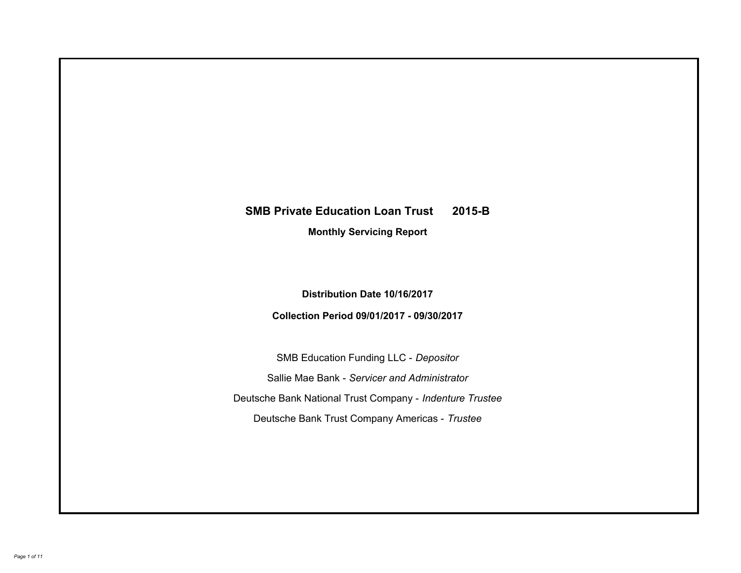# **SMB Private Education Loan Trust 2015-B Monthly Servicing Report**

**Distribution Date 10/16/2017**

**Collection Period 09/01/2017 - 09/30/2017**

SMB Education Funding LLC - *Depositor* Sallie Mae Bank - *Servicer and Administrator* Deutsche Bank National Trust Company - *Indenture Trustee* Deutsche Bank Trust Company Americas - *Trustee*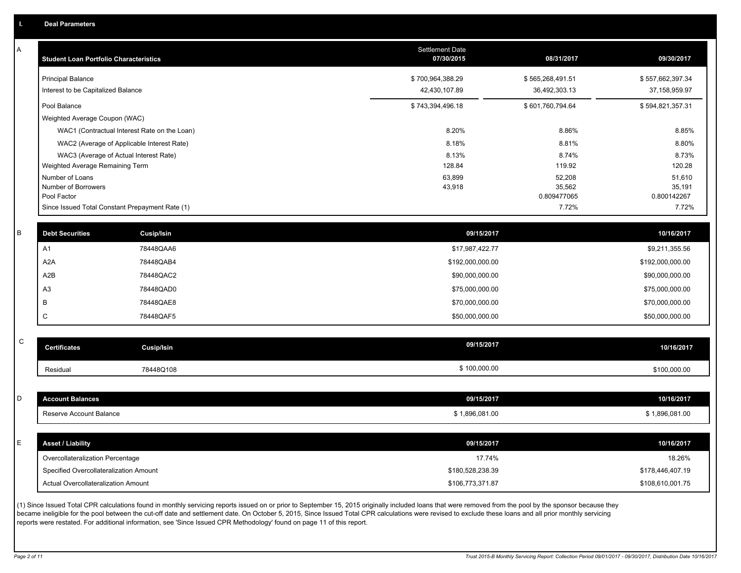| А           | <b>Student Loan Portfolio Characteristics</b>   |                                                                                                                                                                                                           | <b>Settlement Date</b><br>07/30/2015 | 08/31/2017            | 09/30/2017            |
|-------------|-------------------------------------------------|-----------------------------------------------------------------------------------------------------------------------------------------------------------------------------------------------------------|--------------------------------------|-----------------------|-----------------------|
|             | <b>Principal Balance</b>                        |                                                                                                                                                                                                           | \$700,964,388.29                     | \$565,268,491.51      | \$557,662,397.34      |
|             | Interest to be Capitalized Balance              |                                                                                                                                                                                                           | 42,430,107.89                        | 36,492,303.13         | 37, 158, 959. 97      |
|             | Pool Balance                                    |                                                                                                                                                                                                           | \$743,394,496.18                     | \$601,760,794.64      | \$594,821,357.31      |
|             | Weighted Average Coupon (WAC)                   |                                                                                                                                                                                                           |                                      |                       |                       |
|             |                                                 | WAC1 (Contractual Interest Rate on the Loan)                                                                                                                                                              | 8.20%                                | 8.86%                 | 8.85%                 |
|             |                                                 | WAC2 (Average of Applicable Interest Rate)                                                                                                                                                                | 8.18%                                | 8.81%                 | 8.80%                 |
|             |                                                 | WAC3 (Average of Actual Interest Rate)                                                                                                                                                                    | 8.13%                                | 8.74%                 | 8.73%                 |
|             | Weighted Average Remaining Term                 |                                                                                                                                                                                                           | 128.84                               | 119.92                | 120.28                |
|             | Number of Loans                                 |                                                                                                                                                                                                           | 63,899                               | 52,208                | 51,610                |
|             | Number of Borrowers<br>Pool Factor              |                                                                                                                                                                                                           | 43,918                               | 35,562<br>0.809477065 | 35,191<br>0.800142267 |
|             | Since Issued Total Constant Prepayment Rate (1) |                                                                                                                                                                                                           |                                      | 7.72%                 | 7.72%                 |
|             |                                                 |                                                                                                                                                                                                           |                                      |                       |                       |
| B           | <b>Debt Securities</b>                          | Cusip/Isin                                                                                                                                                                                                | 09/15/2017                           |                       | 10/16/2017            |
|             | A <sub>1</sub>                                  | 78448QAA6                                                                                                                                                                                                 | \$17,987,422.77                      |                       | \$9,211,355.56        |
|             | A <sub>2</sub> A                                | 78448QAB4                                                                                                                                                                                                 | \$192,000,000.00                     |                       | \$192,000,000.00      |
|             | A2B                                             | 78448QAC2                                                                                                                                                                                                 | \$90,000,000.00                      |                       | \$90,000,000.00       |
|             | A <sub>3</sub>                                  | 78448QAD0                                                                                                                                                                                                 | \$75,000,000.00                      |                       | \$75,000,000.00       |
|             | B                                               | 78448QAE8                                                                                                                                                                                                 | \$70,000,000.00                      |                       | \$70,000,000.00       |
|             | C                                               | 78448QAF5                                                                                                                                                                                                 | \$50,000,000.00                      |                       | \$50,000,000.00       |
|             |                                                 |                                                                                                                                                                                                           |                                      |                       |                       |
| $\mathsf C$ | <b>Certificates</b>                             | <b>Cusip/Isin</b>                                                                                                                                                                                         | 09/15/2017                           |                       | 10/16/2017            |
|             | Residual                                        | 78448Q108                                                                                                                                                                                                 | \$100,000.00                         |                       | \$100,000.00          |
|             |                                                 |                                                                                                                                                                                                           |                                      |                       |                       |
| D           | <b>Account Balances</b>                         |                                                                                                                                                                                                           | 09/15/2017                           |                       | 10/16/2017            |
|             | Reserve Account Balance                         |                                                                                                                                                                                                           | \$1,896,081.00                       |                       | \$1,896,081.00        |
|             |                                                 |                                                                                                                                                                                                           |                                      |                       |                       |
| E.          | <b>Asset / Liability</b>                        |                                                                                                                                                                                                           | 09/15/2017                           |                       | 10/16/2017            |
|             | Overcollateralization Percentage                |                                                                                                                                                                                                           | 17.74%                               |                       | 18.26%                |
|             | Specified Overcollateralization Amount          |                                                                                                                                                                                                           | \$180,528,238.39                     |                       | \$178,446,407.19      |
|             | Actual Overcollateralization Amount             |                                                                                                                                                                                                           | \$106,773,371.87                     |                       | \$108,610,001.75      |
|             |                                                 | (1) Since Issued Total CPR calculations found in monthly servicing reports issued on or prior to September 15, 2015 originally included loans that were removed from the pool by the sponsor because they |                                      |                       |                       |

(1) Since Issued Total CPR calculations found in monthly servicing reports issued on or prior to September 15, 2015 originally included loans that were removed from the pool by the sponsor because they became ineligible for the pool between the cut-off date and settlement date. On October 5, 2015, Since Issued Total CPR calculations were revised to exclude these loans and all prior monthly servicing reports were restated. For additional information, see 'Since Issued CPR Methodology' found on page 11 of this report.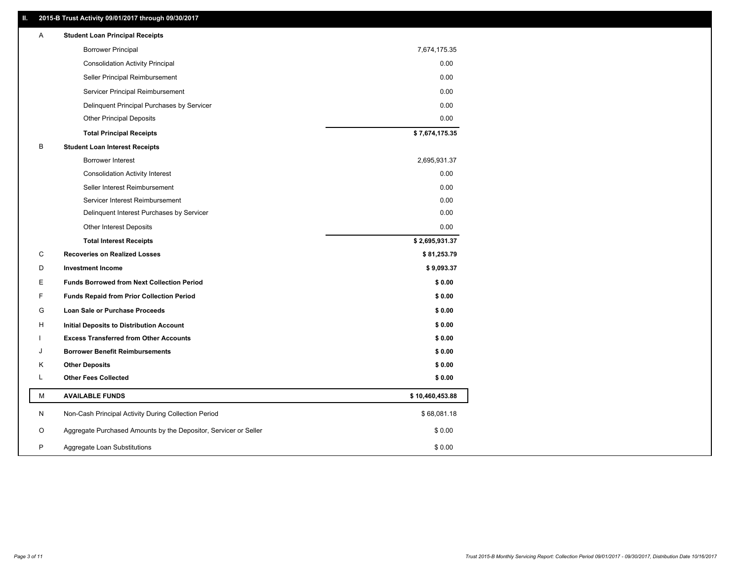## **II. 2015-B Trust Activity 09/01/2017 through 09/30/2017**

| <b>Borrower Principal</b><br>7,674,175.35<br><b>Consolidation Activity Principal</b><br>0.00<br>Seller Principal Reimbursement<br>0.00<br>Servicer Principal Reimbursement<br>0.00<br>Delinquent Principal Purchases by Servicer<br>0.00<br><b>Other Principal Deposits</b><br>0.00<br>\$7,674,175.35<br><b>Total Principal Receipts</b><br>B<br><b>Student Loan Interest Receipts</b><br>Borrower Interest<br>2,695,931.37<br>0.00<br><b>Consolidation Activity Interest</b><br>0.00<br>Seller Interest Reimbursement<br>0.00<br>Servicer Interest Reimbursement<br>0.00<br>Delinquent Interest Purchases by Servicer<br><b>Other Interest Deposits</b><br>0.00<br>\$2,695,931.37<br><b>Total Interest Receipts</b><br>C<br><b>Recoveries on Realized Losses</b><br>\$81,253.79<br>D<br><b>Investment Income</b><br>\$9,093.37<br>Ε<br><b>Funds Borrowed from Next Collection Period</b><br>\$0.00<br>F<br><b>Funds Repaid from Prior Collection Period</b><br>\$0.00<br>G<br>\$0.00<br><b>Loan Sale or Purchase Proceeds</b><br>\$0.00<br>H<br>Initial Deposits to Distribution Account<br><b>Excess Transferred from Other Accounts</b><br>\$0.00<br><b>Borrower Benefit Reimbursements</b><br>\$0.00<br>J<br><b>Other Deposits</b><br>\$0.00<br>Κ<br>Г<br><b>Other Fees Collected</b><br>\$0.00<br>М<br><b>AVAILABLE FUNDS</b><br>\$10,460,453.88<br>N<br>Non-Cash Principal Activity During Collection Period<br>\$68,081.18<br>O<br>Aggregate Purchased Amounts by the Depositor, Servicer or Seller<br>\$0.00<br>P<br>\$0.00<br>Aggregate Loan Substitutions | Α | <b>Student Loan Principal Receipts</b> |  |
|---------------------------------------------------------------------------------------------------------------------------------------------------------------------------------------------------------------------------------------------------------------------------------------------------------------------------------------------------------------------------------------------------------------------------------------------------------------------------------------------------------------------------------------------------------------------------------------------------------------------------------------------------------------------------------------------------------------------------------------------------------------------------------------------------------------------------------------------------------------------------------------------------------------------------------------------------------------------------------------------------------------------------------------------------------------------------------------------------------------------------------------------------------------------------------------------------------------------------------------------------------------------------------------------------------------------------------------------------------------------------------------------------------------------------------------------------------------------------------------------------------------------------------------------------------------------|---|----------------------------------------|--|
|                                                                                                                                                                                                                                                                                                                                                                                                                                                                                                                                                                                                                                                                                                                                                                                                                                                                                                                                                                                                                                                                                                                                                                                                                                                                                                                                                                                                                                                                                                                                                                     |   |                                        |  |
|                                                                                                                                                                                                                                                                                                                                                                                                                                                                                                                                                                                                                                                                                                                                                                                                                                                                                                                                                                                                                                                                                                                                                                                                                                                                                                                                                                                                                                                                                                                                                                     |   |                                        |  |
|                                                                                                                                                                                                                                                                                                                                                                                                                                                                                                                                                                                                                                                                                                                                                                                                                                                                                                                                                                                                                                                                                                                                                                                                                                                                                                                                                                                                                                                                                                                                                                     |   |                                        |  |
|                                                                                                                                                                                                                                                                                                                                                                                                                                                                                                                                                                                                                                                                                                                                                                                                                                                                                                                                                                                                                                                                                                                                                                                                                                                                                                                                                                                                                                                                                                                                                                     |   |                                        |  |
|                                                                                                                                                                                                                                                                                                                                                                                                                                                                                                                                                                                                                                                                                                                                                                                                                                                                                                                                                                                                                                                                                                                                                                                                                                                                                                                                                                                                                                                                                                                                                                     |   |                                        |  |
|                                                                                                                                                                                                                                                                                                                                                                                                                                                                                                                                                                                                                                                                                                                                                                                                                                                                                                                                                                                                                                                                                                                                                                                                                                                                                                                                                                                                                                                                                                                                                                     |   |                                        |  |
|                                                                                                                                                                                                                                                                                                                                                                                                                                                                                                                                                                                                                                                                                                                                                                                                                                                                                                                                                                                                                                                                                                                                                                                                                                                                                                                                                                                                                                                                                                                                                                     |   |                                        |  |
|                                                                                                                                                                                                                                                                                                                                                                                                                                                                                                                                                                                                                                                                                                                                                                                                                                                                                                                                                                                                                                                                                                                                                                                                                                                                                                                                                                                                                                                                                                                                                                     |   |                                        |  |
|                                                                                                                                                                                                                                                                                                                                                                                                                                                                                                                                                                                                                                                                                                                                                                                                                                                                                                                                                                                                                                                                                                                                                                                                                                                                                                                                                                                                                                                                                                                                                                     |   |                                        |  |
|                                                                                                                                                                                                                                                                                                                                                                                                                                                                                                                                                                                                                                                                                                                                                                                                                                                                                                                                                                                                                                                                                                                                                                                                                                                                                                                                                                                                                                                                                                                                                                     |   |                                        |  |
|                                                                                                                                                                                                                                                                                                                                                                                                                                                                                                                                                                                                                                                                                                                                                                                                                                                                                                                                                                                                                                                                                                                                                                                                                                                                                                                                                                                                                                                                                                                                                                     |   |                                        |  |
|                                                                                                                                                                                                                                                                                                                                                                                                                                                                                                                                                                                                                                                                                                                                                                                                                                                                                                                                                                                                                                                                                                                                                                                                                                                                                                                                                                                                                                                                                                                                                                     |   |                                        |  |
|                                                                                                                                                                                                                                                                                                                                                                                                                                                                                                                                                                                                                                                                                                                                                                                                                                                                                                                                                                                                                                                                                                                                                                                                                                                                                                                                                                                                                                                                                                                                                                     |   |                                        |  |
|                                                                                                                                                                                                                                                                                                                                                                                                                                                                                                                                                                                                                                                                                                                                                                                                                                                                                                                                                                                                                                                                                                                                                                                                                                                                                                                                                                                                                                                                                                                                                                     |   |                                        |  |
|                                                                                                                                                                                                                                                                                                                                                                                                                                                                                                                                                                                                                                                                                                                                                                                                                                                                                                                                                                                                                                                                                                                                                                                                                                                                                                                                                                                                                                                                                                                                                                     |   |                                        |  |
|                                                                                                                                                                                                                                                                                                                                                                                                                                                                                                                                                                                                                                                                                                                                                                                                                                                                                                                                                                                                                                                                                                                                                                                                                                                                                                                                                                                                                                                                                                                                                                     |   |                                        |  |
|                                                                                                                                                                                                                                                                                                                                                                                                                                                                                                                                                                                                                                                                                                                                                                                                                                                                                                                                                                                                                                                                                                                                                                                                                                                                                                                                                                                                                                                                                                                                                                     |   |                                        |  |
|                                                                                                                                                                                                                                                                                                                                                                                                                                                                                                                                                                                                                                                                                                                                                                                                                                                                                                                                                                                                                                                                                                                                                                                                                                                                                                                                                                                                                                                                                                                                                                     |   |                                        |  |
|                                                                                                                                                                                                                                                                                                                                                                                                                                                                                                                                                                                                                                                                                                                                                                                                                                                                                                                                                                                                                                                                                                                                                                                                                                                                                                                                                                                                                                                                                                                                                                     |   |                                        |  |
|                                                                                                                                                                                                                                                                                                                                                                                                                                                                                                                                                                                                                                                                                                                                                                                                                                                                                                                                                                                                                                                                                                                                                                                                                                                                                                                                                                                                                                                                                                                                                                     |   |                                        |  |
|                                                                                                                                                                                                                                                                                                                                                                                                                                                                                                                                                                                                                                                                                                                                                                                                                                                                                                                                                                                                                                                                                                                                                                                                                                                                                                                                                                                                                                                                                                                                                                     |   |                                        |  |
|                                                                                                                                                                                                                                                                                                                                                                                                                                                                                                                                                                                                                                                                                                                                                                                                                                                                                                                                                                                                                                                                                                                                                                                                                                                                                                                                                                                                                                                                                                                                                                     |   |                                        |  |
|                                                                                                                                                                                                                                                                                                                                                                                                                                                                                                                                                                                                                                                                                                                                                                                                                                                                                                                                                                                                                                                                                                                                                                                                                                                                                                                                                                                                                                                                                                                                                                     |   |                                        |  |
|                                                                                                                                                                                                                                                                                                                                                                                                                                                                                                                                                                                                                                                                                                                                                                                                                                                                                                                                                                                                                                                                                                                                                                                                                                                                                                                                                                                                                                                                                                                                                                     |   |                                        |  |
|                                                                                                                                                                                                                                                                                                                                                                                                                                                                                                                                                                                                                                                                                                                                                                                                                                                                                                                                                                                                                                                                                                                                                                                                                                                                                                                                                                                                                                                                                                                                                                     |   |                                        |  |
|                                                                                                                                                                                                                                                                                                                                                                                                                                                                                                                                                                                                                                                                                                                                                                                                                                                                                                                                                                                                                                                                                                                                                                                                                                                                                                                                                                                                                                                                                                                                                                     |   |                                        |  |
|                                                                                                                                                                                                                                                                                                                                                                                                                                                                                                                                                                                                                                                                                                                                                                                                                                                                                                                                                                                                                                                                                                                                                                                                                                                                                                                                                                                                                                                                                                                                                                     |   |                                        |  |
|                                                                                                                                                                                                                                                                                                                                                                                                                                                                                                                                                                                                                                                                                                                                                                                                                                                                                                                                                                                                                                                                                                                                                                                                                                                                                                                                                                                                                                                                                                                                                                     |   |                                        |  |
|                                                                                                                                                                                                                                                                                                                                                                                                                                                                                                                                                                                                                                                                                                                                                                                                                                                                                                                                                                                                                                                                                                                                                                                                                                                                                                                                                                                                                                                                                                                                                                     |   |                                        |  |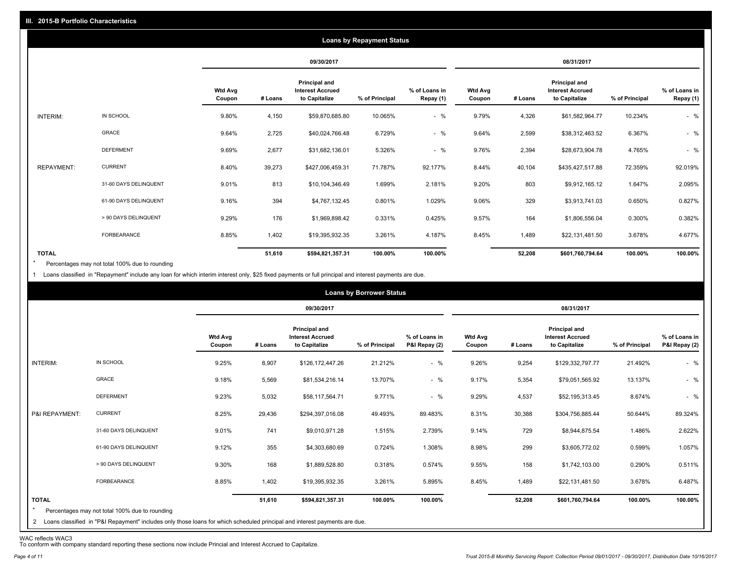|                   |                       |                          |         |                                                                  | <b>Loans by Repayment Status</b> |                            |                          |         |                                                           |                |                            |
|-------------------|-----------------------|--------------------------|---------|------------------------------------------------------------------|----------------------------------|----------------------------|--------------------------|---------|-----------------------------------------------------------|----------------|----------------------------|
|                   |                       |                          |         | 09/30/2017                                                       |                                  |                            |                          |         | 08/31/2017                                                |                |                            |
|                   |                       | <b>Wtd Avg</b><br>Coupon | # Loans | <b>Principal and</b><br><b>Interest Accrued</b><br>to Capitalize | % of Principal                   | % of Loans in<br>Repay (1) | <b>Wtd Avg</b><br>Coupon | # Loans | Principal and<br><b>Interest Accrued</b><br>to Capitalize | % of Principal | % of Loans in<br>Repay (1) |
| INTERIM:          | IN SCHOOL             | 9.80%                    | 4,150   | \$59,870,685.80                                                  | 10.065%                          | $-$ %                      | 9.79%                    | 4,326   | \$61,582,964.77                                           | 10.234%        | $-$ %                      |
|                   | <b>GRACE</b>          | 9.64%                    | 2,725   | \$40,024,766.48                                                  | 6.729%                           | $-$ %                      | 9.64%                    | 2,599   | \$38,312,463.52                                           | 6.367%         | $-$ %                      |
|                   | <b>DEFERMENT</b>      | 9.69%                    | 2,677   | \$31,682,136.01                                                  | 5.326%                           | $-$ %                      | 9.76%                    | 2,394   | \$28,673,904.78                                           | 4.765%         | $-$ %                      |
| <b>REPAYMENT:</b> | <b>CURRENT</b>        | 8.40%                    | 39,273  | \$427,006,459.31                                                 | 71.787%                          | 92.177%                    | 8.44%                    | 40,104  | \$435,427,517.88                                          | 72.359%        | 92.019%                    |
|                   | 31-60 DAYS DELINQUENT | 9.01%                    | 813     | \$10,104,346.49                                                  | 1.699%                           | 2.181%                     | 9.20%                    | 803     | \$9,912,165.12                                            | 1.647%         | 2.095%                     |
|                   | 61-90 DAYS DELINQUENT | 9.16%                    | 394     | \$4,767,132.45                                                   | 0.801%                           | 1.029%                     | 9.06%                    | 329     | \$3,913,741.03                                            | 0.650%         | 0.827%                     |
|                   | > 90 DAYS DELINQUENT  | 9.29%                    | 176     | \$1,969,898.42                                                   | 0.331%                           | 0.425%                     | 9.57%                    | 164     | \$1,806,556.04                                            | 0.300%         | 0.382%                     |
|                   | FORBEARANCE           | 8.85%                    | 1,402   | \$19,395,932.35                                                  | 3.261%                           | 4.187%                     | 8.45%                    | 1,489   | \$22,131,481.50                                           | 3.678%         | 4.677%                     |
| <b>TOTAL</b>      |                       |                          | 51,610  | \$594,821,357.31                                                 | 100.00%                          | 100.00%                    |                          | 52,208  | \$601,760,794.64                                          | 100.00%        | 100.00%                    |

Percentages may not total 100% due to rounding  $\star$ 

1 Loans classified in "Repayment" include any loan for which interim interest only, \$25 fixed payments or full principal and interest payments are due.

|                |                                                                                                                              |                |         |                                                        | <b>Loans by Borrower Status</b> |               |                |         |                                                               |                |               |
|----------------|------------------------------------------------------------------------------------------------------------------------------|----------------|---------|--------------------------------------------------------|---------------------------------|---------------|----------------|---------|---------------------------------------------------------------|----------------|---------------|
|                |                                                                                                                              | <b>Wtd Avg</b> |         | 09/30/2017<br>Principal and<br><b>Interest Accrued</b> |                                 | % of Loans in | <b>Wtd Avg</b> |         | 08/31/2017<br><b>Principal and</b><br><b>Interest Accrued</b> |                | % of Loans in |
|                |                                                                                                                              | Coupon         | # Loans | to Capitalize                                          | % of Principal                  | P&I Repay (2) | Coupon         | # Loans | to Capitalize                                                 | % of Principal | P&I Repay (2) |
| INTERIM:       | IN SCHOOL                                                                                                                    | 9.25%          | 8,907   | \$126,172,447.26                                       | 21.212%                         | $-$ %         | 9.26%          | 9,254   | \$129,332,797.77                                              | 21.492%        | $-$ %         |
|                | <b>GRACE</b>                                                                                                                 | 9.18%          | 5,569   | \$81,534,216.14                                        | 13.707%                         | $-$ %         | 9.17%          | 5,354   | \$79,051,565.92                                               | 13.137%        | $-$ %         |
|                | <b>DEFERMENT</b>                                                                                                             | 9.23%          | 5,032   | \$58,117,564.71                                        | 9.771%                          | $-$ %         | 9.29%          | 4,537   | \$52,195,313.45                                               | 8.674%         | $-$ %         |
| P&I REPAYMENT: | <b>CURRENT</b>                                                                                                               | 8.25%          | 29,436  | \$294,397,016.08                                       | 49.493%                         | 89.483%       | 8.31%          | 30,388  | \$304,756,885.44                                              | 50.644%        | 89.324%       |
|                | 31-60 DAYS DELINQUENT                                                                                                        | 9.01%          | 741     | \$9,010,971.28                                         | 1.515%                          | 2.739%        | 9.14%          | 729     | \$8,944,875.54                                                | 1.486%         | 2.622%        |
|                | 61-90 DAYS DELINQUENT                                                                                                        | 9.12%          | 355     | \$4,303,680.69                                         | 0.724%                          | 1.308%        | 8.98%          | 299     | \$3,605,772.02                                                | 0.599%         | 1.057%        |
|                | > 90 DAYS DELINQUENT                                                                                                         | 9.30%          | 168     | \$1,889,528.80                                         | 0.318%                          | 0.574%        | 9.55%          | 158     | \$1,742,103.00                                                | 0.290%         | 0.511%        |
|                | FORBEARANCE                                                                                                                  | 8.85%          | 1,402   | \$19,395,932.35                                        | 3.261%                          | 5.895%        | 8.45%          | 1,489   | \$22,131,481.50                                               | 3.678%         | 6.487%        |
| <b>TOTAL</b>   |                                                                                                                              |                | 51,610  | \$594,821,357.31                                       | 100.00%                         | 100.00%       |                | 52,208  | \$601,760,794.64                                              | 100.00%        | 100.00%       |
| $\star$        | Percentages may not total 100% due to rounding                                                                               |                |         |                                                        |                                 |               |                |         |                                                               |                |               |
|                | 2 Loans classified in "P&I Repayment" includes only those loans for which scheduled principal and interest payments are due. |                |         |                                                        |                                 |               |                |         |                                                               |                |               |

WAC reflects WAC3 To conform with company standard reporting these sections now include Princial and Interest Accrued to Capitalize.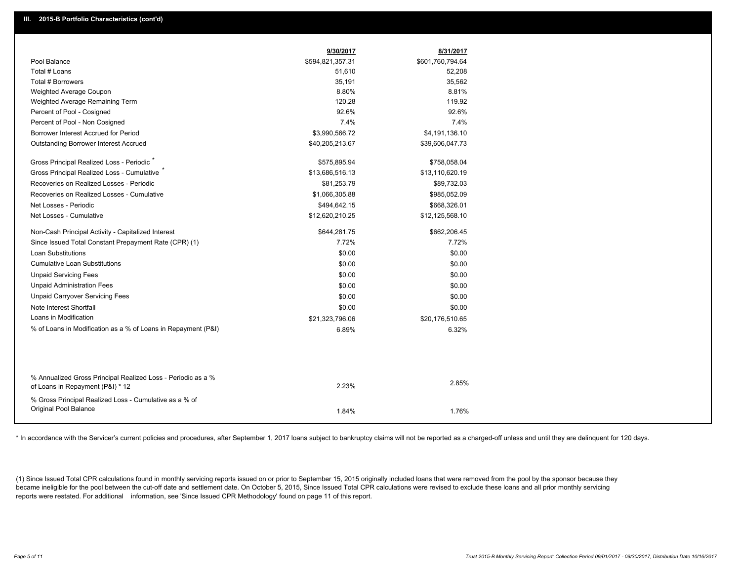|                                                                                                  | 9/30/2017        | 8/31/2017        |
|--------------------------------------------------------------------------------------------------|------------------|------------------|
| Pool Balance                                                                                     | \$594,821,357.31 | \$601,760,794.64 |
| Total # Loans                                                                                    | 51,610           | 52,208           |
| <b>Total # Borrowers</b>                                                                         | 35,191           | 35,562           |
| Weighted Average Coupon                                                                          | 8.80%            | 8.81%            |
| Weighted Average Remaining Term                                                                  | 120.28           | 119.92           |
| Percent of Pool - Cosigned                                                                       | 92.6%            | 92.6%            |
| Percent of Pool - Non Cosigned                                                                   | 7.4%             | 7.4%             |
| Borrower Interest Accrued for Period                                                             | \$3,990,566.72   | \$4,191,136.10   |
| <b>Outstanding Borrower Interest Accrued</b>                                                     | \$40,205,213.67  | \$39,606,047.73  |
| Gross Principal Realized Loss - Periodic <sup>7</sup>                                            | \$575,895.94     | \$758,058.04     |
| Gross Principal Realized Loss - Cumulative                                                       | \$13,686,516.13  | \$13,110,620.19  |
| Recoveries on Realized Losses - Periodic                                                         | \$81,253.79      | \$89,732.03      |
| Recoveries on Realized Losses - Cumulative                                                       | \$1,066,305.88   | \$985,052.09     |
| Net Losses - Periodic                                                                            | \$494,642.15     | \$668,326.01     |
| Net Losses - Cumulative                                                                          | \$12,620,210.25  | \$12,125,568.10  |
| Non-Cash Principal Activity - Capitalized Interest                                               | \$644,281.75     | \$662,206.45     |
| Since Issued Total Constant Prepayment Rate (CPR) (1)                                            | 7.72%            | 7.72%            |
| <b>Loan Substitutions</b>                                                                        | \$0.00           | \$0.00           |
| <b>Cumulative Loan Substitutions</b>                                                             | \$0.00           | \$0.00           |
| <b>Unpaid Servicing Fees</b>                                                                     | \$0.00           | \$0.00           |
| <b>Unpaid Administration Fees</b>                                                                | \$0.00           | \$0.00           |
| <b>Unpaid Carryover Servicing Fees</b>                                                           | \$0.00           | \$0.00           |
| Note Interest Shortfall                                                                          | \$0.00           | \$0.00           |
| Loans in Modification                                                                            | \$21,323,796.06  | \$20,176,510.65  |
| % of Loans in Modification as a % of Loans in Repayment (P&I)                                    | 6.89%            | 6.32%            |
|                                                                                                  |                  |                  |
|                                                                                                  |                  |                  |
| % Annualized Gross Principal Realized Loss - Periodic as a %<br>of Loans in Repayment (P&I) * 12 | 2.23%            | 2.85%            |
| % Gross Principal Realized Loss - Cumulative as a % of                                           |                  |                  |
| Original Pool Balance                                                                            | 1.84%            | 1.76%            |
|                                                                                                  |                  |                  |

\* In accordance with the Servicer's current policies and procedures, after September 1, 2017 loans subject to bankruptcy claims will not be reported as a charged-off unless and until they are delinquent for 120 days.

(1) Since Issued Total CPR calculations found in monthly servicing reports issued on or prior to September 15, 2015 originally included loans that were removed from the pool by the sponsor because they became ineligible for the pool between the cut-off date and settlement date. On October 5, 2015, Since Issued Total CPR calculations were revised to exclude these loans and all prior monthly servicing reports were restated. For additional information, see 'Since Issued CPR Methodology' found on page 11 of this report.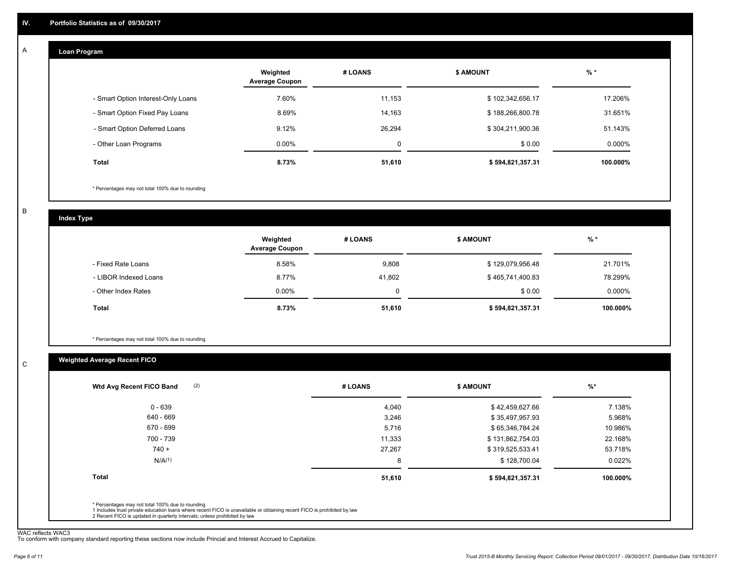#### **Loan Program**  A

|                                    | Weighted<br><b>Average Coupon</b> | # LOANS     | <b>\$ AMOUNT</b> | $%$ *     |
|------------------------------------|-----------------------------------|-------------|------------------|-----------|
| - Smart Option Interest-Only Loans | 7.60%                             | 11,153      | \$102,342,656.17 | 17.206%   |
| - Smart Option Fixed Pay Loans     | 8.69%                             | 14,163      | \$188,266,800.78 | 31.651%   |
| - Smart Option Deferred Loans      | 9.12%                             | 26.294      | \$304,211,900.36 | 51.143%   |
| - Other Loan Programs              | $0.00\%$                          | $\mathbf 0$ | \$0.00           | $0.000\%$ |
| <b>Total</b>                       | 8.73%                             | 51,610      | \$594,821,357.31 | 100.000%  |

\* Percentages may not total 100% due to rounding

B

C

**Index Type**

|                       | Weighted<br><b>Average Coupon</b> | # LOANS     | <b>\$ AMOUNT</b> | $%$ *     |
|-----------------------|-----------------------------------|-------------|------------------|-----------|
| - Fixed Rate Loans    | 8.58%                             | 9,808       | \$129,079,956.48 | 21.701%   |
| - LIBOR Indexed Loans | 8.77%                             | 41.802      | \$465,741,400.83 | 78.299%   |
| - Other Index Rates   | $0.00\%$                          | $\mathbf 0$ | \$0.00           | $0.000\%$ |
| Total                 | 8.73%                             | 51,610      | \$594,821,357.31 | 100.000%  |

\* Percentages may not total 100% due to rounding

## **Weighted Average Recent FICO**

| # LOANS | <b>\$ AMOUNT</b> | $%$ *    |
|---------|------------------|----------|
| 4,040   | \$42,459,627.66  | 7.138%   |
| 3,246   | \$35,497,957.93  | 5.968%   |
| 5,716   | \$65,346,784.24  | 10.986%  |
| 11,333  | \$131,862,754.03 | 22.168%  |
| 27,267  | \$319,525,533.41 | 53.718%  |
| 8       | \$128,700.04     | 0.022%   |
| 51,610  | \$594,821,357.31 | 100.000% |
|         |                  |          |
|         |                  |          |

WAC reflects WAC3 To conform with company standard reporting these sections now include Princial and Interest Accrued to Capitalize.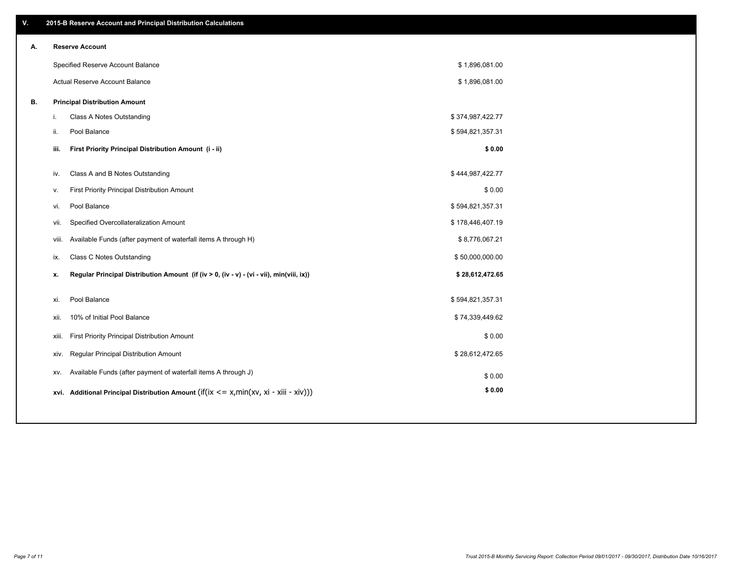| ۷. |       | 2015-B Reserve Account and Principal Distribution Calculations                             |                  |  |
|----|-------|--------------------------------------------------------------------------------------------|------------------|--|
| Α. |       | <b>Reserve Account</b>                                                                     |                  |  |
|    |       | Specified Reserve Account Balance                                                          | \$1,896,081.00   |  |
|    |       | Actual Reserve Account Balance                                                             | \$1,896,081.00   |  |
| В. |       | <b>Principal Distribution Amount</b>                                                       |                  |  |
|    | i.    | Class A Notes Outstanding                                                                  | \$374,987,422.77 |  |
|    | ii.   | Pool Balance                                                                               | \$594,821,357.31 |  |
|    | iii.  | First Priority Principal Distribution Amount (i - ii)                                      | \$0.00           |  |
|    |       |                                                                                            |                  |  |
|    | iv.   | Class A and B Notes Outstanding                                                            | \$444,987,422.77 |  |
|    | v.    | First Priority Principal Distribution Amount                                               | \$0.00           |  |
|    | vi.   | Pool Balance                                                                               | \$594,821,357.31 |  |
|    | vii.  | Specified Overcollateralization Amount                                                     | \$178,446,407.19 |  |
|    |       | Available Funds (after payment of waterfall items A through H)<br>viii.                    | \$8,776,067.21   |  |
|    | ix.   | <b>Class C Notes Outstanding</b>                                                           | \$50,000,000.00  |  |
|    | х.    | Regular Principal Distribution Amount (if (iv > 0, (iv - v) - (vi - vii), min(viii, ix))   | \$28,612,472.65  |  |
|    | xi.   | Pool Balance                                                                               | \$594,821,357.31 |  |
|    | xii.  | 10% of Initial Pool Balance                                                                | \$74,339,449.62  |  |
|    | xiii. | First Priority Principal Distribution Amount                                               | \$0.00           |  |
|    |       | Regular Principal Distribution Amount<br>xiv.                                              | \$28,612,472.65  |  |
|    | XV.   | Available Funds (after payment of waterfall items A through J)                             | \$0.00           |  |
|    |       | xvi. Additional Principal Distribution Amount (if(ix $\lt$ = x, min(xv, xi - xiii - xiv))) | \$0.00           |  |
|    |       |                                                                                            |                  |  |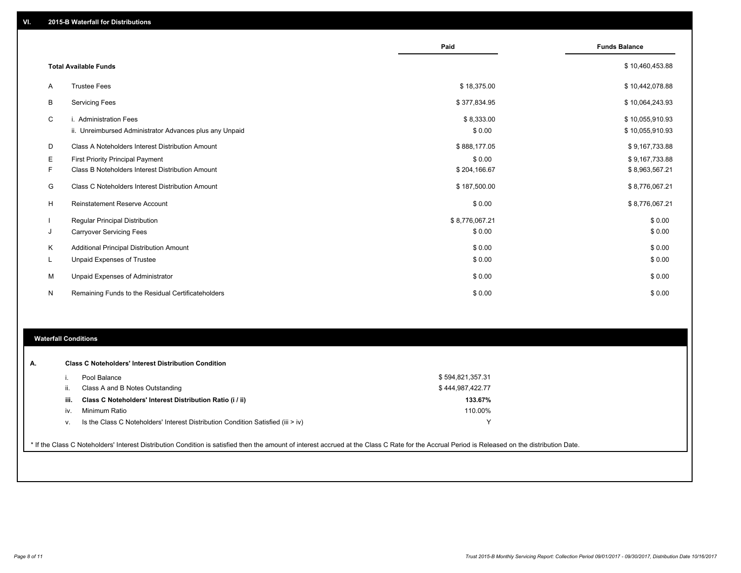|    |                                                                                   | Paid                 | <b>Funds Balance</b>               |
|----|-----------------------------------------------------------------------------------|----------------------|------------------------------------|
|    | <b>Total Available Funds</b>                                                      |                      | \$10,460,453.88                    |
| A  | <b>Trustee Fees</b>                                                               | \$18,375.00          | \$10,442,078.88                    |
| В  | <b>Servicing Fees</b>                                                             | \$377,834.95         | \$10,064,243.93                    |
| C  | i. Administration Fees<br>ii. Unreimbursed Administrator Advances plus any Unpaid | \$8,333.00<br>\$0.00 | \$10,055,910.93<br>\$10,055,910.93 |
| D  | Class A Noteholders Interest Distribution Amount                                  | \$888,177.05         | \$9,167,733.88                     |
| Е  | <b>First Priority Principal Payment</b>                                           | \$0.00               | \$9,167,733.88                     |
| F. | Class B Noteholders Interest Distribution Amount                                  | \$204,166.67         | \$8,963,567.21                     |
| G  | Class C Noteholders Interest Distribution Amount                                  | \$187,500.00         | \$8,776,067.21                     |
| H  | <b>Reinstatement Reserve Account</b>                                              | \$0.00               | \$8,776,067.21                     |
|    | Regular Principal Distribution                                                    | \$8,776,067.21       | \$0.00                             |
| J  | <b>Carryover Servicing Fees</b>                                                   | \$0.00               | \$0.00                             |
| K  | Additional Principal Distribution Amount                                          | \$0.00               | \$0.00                             |
| L. | Unpaid Expenses of Trustee                                                        | \$0.00               | \$0.00                             |
| M  | Unpaid Expenses of Administrator                                                  | \$0.00               | \$0.00                             |
| N  | Remaining Funds to the Residual Certificateholders                                | \$0.00               | \$0.00                             |

#### **Waterfall Conditions**

| А. |      | <b>Class C Noteholders' Interest Distribution Condition</b>                                                                                                                                     |                  |
|----|------|-------------------------------------------------------------------------------------------------------------------------------------------------------------------------------------------------|------------------|
|    |      | Pool Balance                                                                                                                                                                                    | \$594,821,357.31 |
|    | Ш.   | Class A and B Notes Outstanding                                                                                                                                                                 | \$444,987,422.77 |
|    | iii. | Class C Noteholders' Interest Distribution Ratio (i / ii)                                                                                                                                       | 133.67%          |
|    | iv.  | Minimum Ratio                                                                                                                                                                                   | 110.00%          |
|    | V.   | Is the Class C Noteholders' Interest Distribution Condition Satisfied (iii > iv)                                                                                                                | $\checkmark$     |
|    |      |                                                                                                                                                                                                 |                  |
|    |      | * If the Class C Noteholders' Interest Distribution Condition is satisfied then the amount of interest accrued at the Class C Rate for the Accrual Period is Released on the distribution Date. |                  |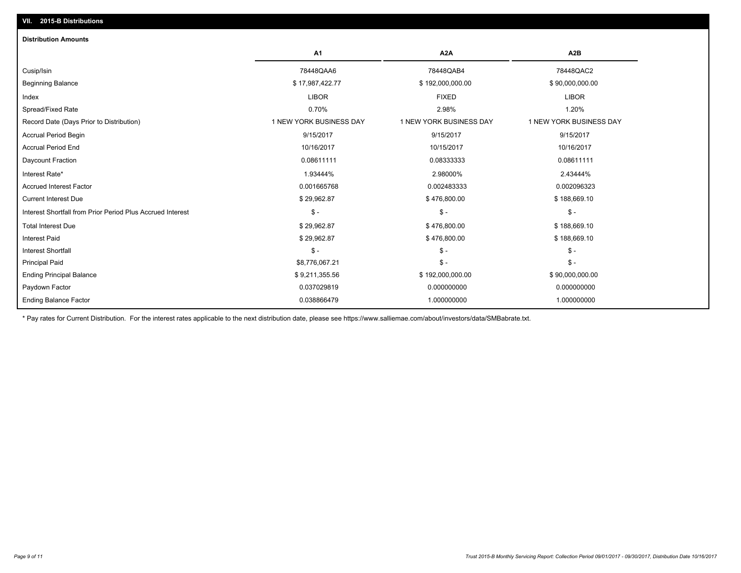| <b>Distribution Amounts</b>                                |                         |                         |                         |
|------------------------------------------------------------|-------------------------|-------------------------|-------------------------|
|                                                            | A1                      | A <sub>2</sub> A        | A2B                     |
| Cusip/Isin                                                 | 78448QAA6               | 78448QAB4               | 78448QAC2               |
| <b>Beginning Balance</b>                                   | \$17,987,422.77         | \$192,000,000.00        | \$90,000,000.00         |
| Index                                                      | <b>LIBOR</b>            | <b>FIXED</b>            | <b>LIBOR</b>            |
| Spread/Fixed Rate                                          | 0.70%                   | 2.98%                   | 1.20%                   |
| Record Date (Days Prior to Distribution)                   | 1 NEW YORK BUSINESS DAY | 1 NEW YORK BUSINESS DAY | 1 NEW YORK BUSINESS DAY |
| Accrual Period Begin                                       | 9/15/2017               | 9/15/2017               | 9/15/2017               |
| <b>Accrual Period End</b>                                  | 10/16/2017              | 10/15/2017              | 10/16/2017              |
| Daycount Fraction                                          | 0.08611111              | 0.08333333              | 0.08611111              |
| Interest Rate*                                             | 1.93444%                | 2.98000%                | 2.43444%                |
| <b>Accrued Interest Factor</b>                             | 0.001665768             | 0.002483333             | 0.002096323             |
| <b>Current Interest Due</b>                                | \$29,962.87             | \$476,800.00            | \$188,669.10            |
| Interest Shortfall from Prior Period Plus Accrued Interest | $\frac{1}{2}$           | $\mathcal{S}$ -         | $$ -$                   |
| <b>Total Interest Due</b>                                  | \$29,962.87             | \$476,800.00            | \$188,669.10            |
| <b>Interest Paid</b>                                       | \$29,962.87             | \$476,800.00            | \$188,669.10            |
| <b>Interest Shortfall</b>                                  | $\mathsf{\$}$ -         | $\frac{1}{2}$           | $$ -$                   |
| <b>Principal Paid</b>                                      | \$8,776,067.21          | $\frac{2}{3}$ -         | $$ -$                   |
| <b>Ending Principal Balance</b>                            | \$9,211,355.56          | \$192,000,000.00        | \$90,000,000.00         |
| Paydown Factor                                             | 0.037029819             | 0.000000000             | 0.000000000             |
| <b>Ending Balance Factor</b>                               | 0.038866479             | 1.000000000             | 1.000000000             |

\* Pay rates for Current Distribution. For the interest rates applicable to the next distribution date, please see https://www.salliemae.com/about/investors/data/SMBabrate.txt.

**VII. 2015-B Distributions**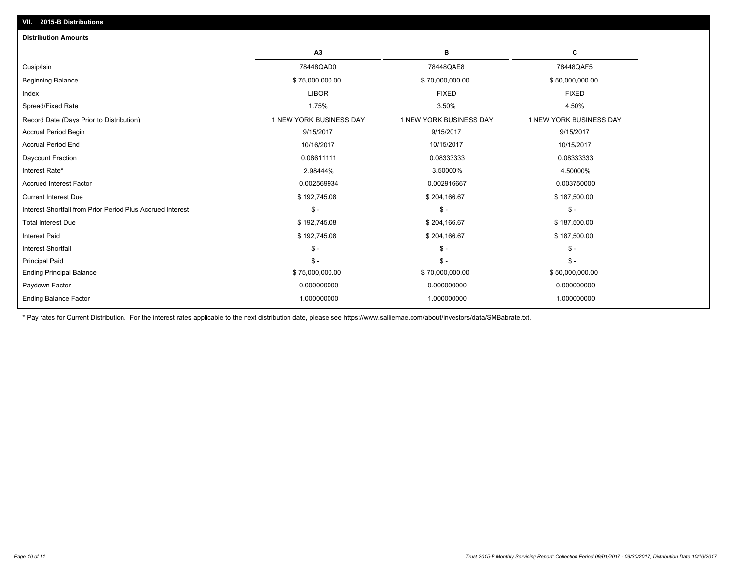| <b>Distribution Amounts</b>                                |                         |                         |                         |
|------------------------------------------------------------|-------------------------|-------------------------|-------------------------|
|                                                            | A3                      | в                       | C                       |
| Cusip/Isin                                                 | 78448QAD0               | 78448QAE8               | 78448QAF5               |
| <b>Beginning Balance</b>                                   | \$75,000,000.00         | \$70,000,000.00         | \$50,000,000.00         |
| Index                                                      | <b>LIBOR</b>            | <b>FIXED</b>            | <b>FIXED</b>            |
| Spread/Fixed Rate                                          | 1.75%                   | 3.50%                   | 4.50%                   |
| Record Date (Days Prior to Distribution)                   | 1 NEW YORK BUSINESS DAY | 1 NEW YORK BUSINESS DAY | 1 NEW YORK BUSINESS DAY |
| <b>Accrual Period Begin</b>                                | 9/15/2017               | 9/15/2017               | 9/15/2017               |
| <b>Accrual Period End</b>                                  | 10/16/2017              | 10/15/2017              | 10/15/2017              |
| Daycount Fraction                                          | 0.08611111              | 0.08333333              | 0.08333333              |
| Interest Rate*                                             | 2.98444%                | 3.50000%                | 4.50000%                |
| <b>Accrued Interest Factor</b>                             | 0.002569934             | 0.002916667             | 0.003750000             |
| <b>Current Interest Due</b>                                | \$192,745.08            | \$204,166.67            | \$187,500.00            |
| Interest Shortfall from Prior Period Plus Accrued Interest | $$ -$                   | $\mathsf{\$}$ -         | $\mathcal{S}$ -         |
| <b>Total Interest Due</b>                                  | \$192,745.08            | \$204,166.67            | \$187,500.00            |
| <b>Interest Paid</b>                                       | \$192,745.08            | \$204,166.67            | \$187,500.00            |
| <b>Interest Shortfall</b>                                  | $\mathsf{\$}$ -         | $\mathsf{\$}$ -         | $\mathbb{S}$ -          |
| <b>Principal Paid</b>                                      | $\mathsf{\$}$ -         | $\mathsf{\$}$ -         | $\mathbb{S}$ -          |
| <b>Ending Principal Balance</b>                            | \$75,000,000.00         | \$70,000,000.00         | \$50,000,000.00         |
| Paydown Factor                                             | 0.000000000             | 0.000000000             | 0.000000000             |
| <b>Ending Balance Factor</b>                               | 1.000000000             | 1.000000000             | 1.000000000             |

\* Pay rates for Current Distribution. For the interest rates applicable to the next distribution date, please see https://www.salliemae.com/about/investors/data/SMBabrate.txt.

**VII. 2015-B Distributions**